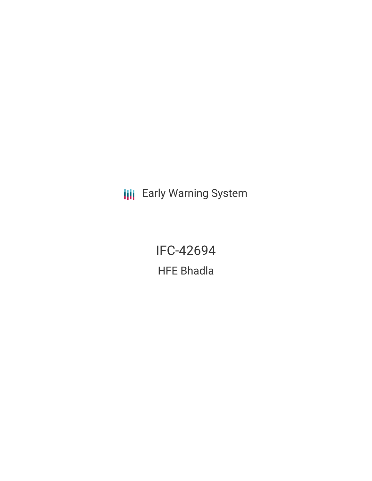**III** Early Warning System

IFC-42694 HFE Bhadla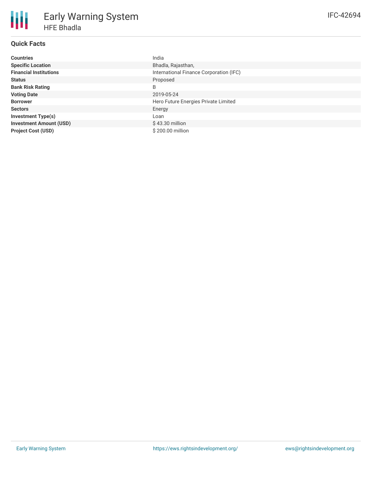## **Quick Facts**

| <b>Countries</b>               | India                                   |
|--------------------------------|-----------------------------------------|
| <b>Specific Location</b>       | Bhadla, Rajasthan,                      |
| <b>Financial Institutions</b>  | International Finance Corporation (IFC) |
| <b>Status</b>                  | Proposed                                |
| <b>Bank Risk Rating</b>        | B                                       |
| <b>Voting Date</b>             | 2019-05-24                              |
| <b>Borrower</b>                | Hero Future Energies Private Limited    |
| <b>Sectors</b>                 | Energy                                  |
| <b>Investment Type(s)</b>      | Loan                                    |
| <b>Investment Amount (USD)</b> | $$43.30$ million                        |
| <b>Project Cost (USD)</b>      | $$200.00$ million                       |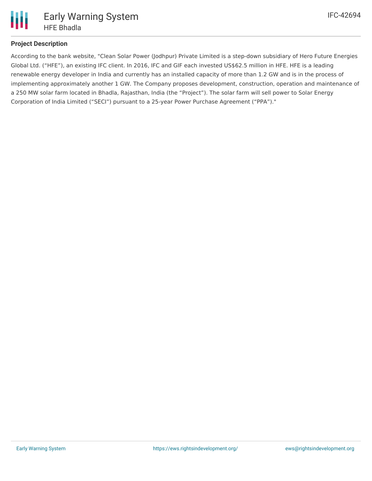

# **Project Description**

According to the bank website, "Clean Solar Power (Jodhpur) Private Limited is a step-down subsidiary of Hero Future Energies Global Ltd. ("HFE"), an existing IFC client. In 2016, IFC and GIF each invested US\$62.5 million in HFE. HFE is a leading renewable energy developer in India and currently has an installed capacity of more than 1.2 GW and is in the process of implementing approximately another 1 GW. The Company proposes development, construction, operation and maintenance of a 250 MW solar farm located in Bhadla, Rajasthan, India (the "Project"). The solar farm will sell power to Solar Energy Corporation of India Limited ("SECI") pursuant to a 25-year Power Purchase Agreement ("PPA")."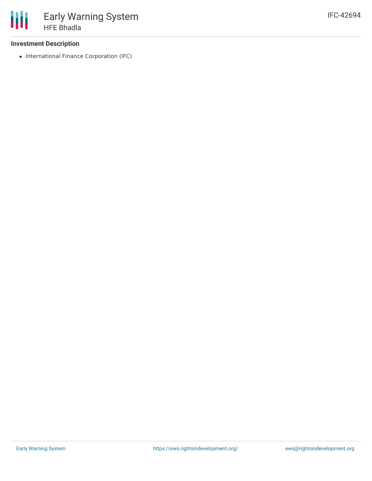### **Investment Description**

• International Finance Corporation (IFC)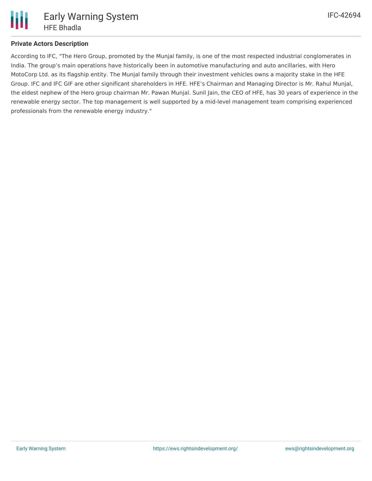

According to IFC, "The Hero Group, promoted by the Munjal family, is one of the most respected industrial conglomerates in India. The group's main operations have historically been in automotive manufacturing and auto ancillaries, with Hero MotoCorp Ltd. as its flagship entity. The Munjal family through their investment vehicles owns a majority stake in the HFE Group. IFC and IFC GIF are other significant shareholders in HFE. HFE's Chairman and Managing Director is Mr. Rahul Munjal, the eldest nephew of the Hero group chairman Mr. Pawan Munjal. Sunil Jain, the CEO of HFE, has 30 years of experience in the renewable energy sector. The top management is well supported by a mid-level management team comprising experienced professionals from the renewable energy industry."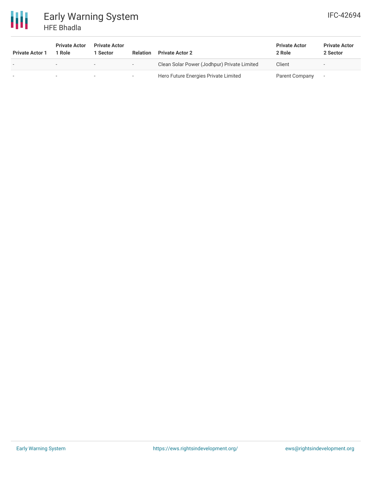

| <b>Private Actor 1</b>   | <b>Private Actor</b><br>1 Role | <b>Private Actor</b><br>1 Sector | <b>Relation</b>          | <b>Private Actor 2</b>                      | <b>Private Actor</b><br>2 Role | <b>Private Actor</b><br>2 Sector |
|--------------------------|--------------------------------|----------------------------------|--------------------------|---------------------------------------------|--------------------------------|----------------------------------|
| $\overline{\phantom{0}}$ | $\overline{\phantom{a}}$       |                                  | $\overline{\phantom{0}}$ | Clean Solar Power (Jodhpur) Private Limited | Client                         |                                  |
|                          |                                |                                  |                          | Hero Future Energies Private Limited        | Parent Company                 |                                  |